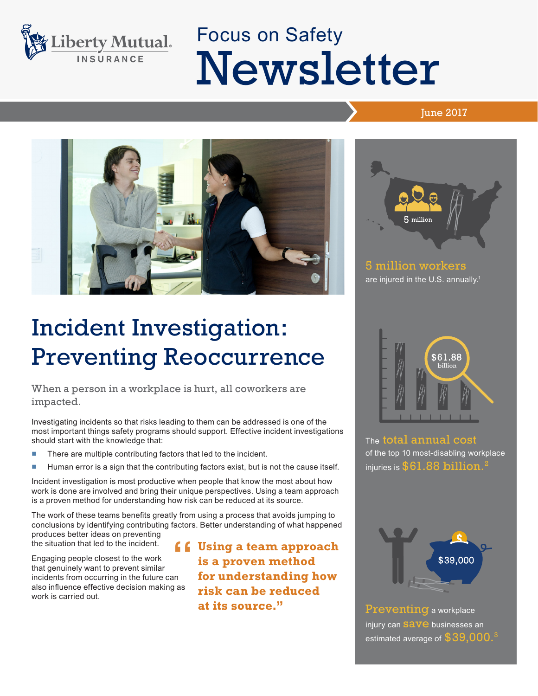

# Focus on Safety Newsletter

### **June 2017**



## Incident Investigation: Preventing Reoccurrence

When a person in a workplace is hurt, all coworkers are impacted.

Investigating incidents so that risks leading to them can be addressed is one of the most important things safety programs should support. Effective incident investigations should start with the knowledge that:

- There are multiple contributing factors that led to the incident.
- Human error is a sign that the contributing factors exist, but is not the cause itself.

Incident investigation is most productive when people that know the most about how work is done are involved and bring their unique perspectives. Using a team approach is a proven method for understanding how risk can be reduced at its source.

The work of these teams benefits greatly from using a process that avoids jumping to conclusions by identifying contributing factors. Better understanding of what happened produces better ideas on preventing

the situation that led to the incident. Engaging people closest to the work

that genuinely want to prevent similar incidents from occurring in the future can also influence effective decision making as work is carried out.

**f** Using a team approach<br>
is a proven method<br>
"
for understanding how **is a proven method for understanding how risk can be reduced at its source."**



5 million workers are injured in the U.S. annually.<sup>1</sup>



The total annual cost of the top 10 most-disabling workplace injuries is  $$61.88$  billion.



Preventing a workplace injury can **SaVe** businesses an estimated average of  $$39,000.^3$